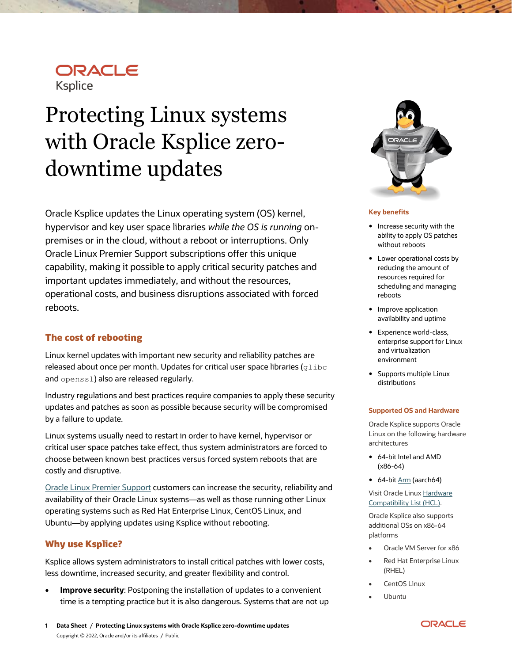## ORACLE **Ksplice**

# Protecting Linux systems with Oracle Ksplice zerodowntime updates

Oracle Ksplice updates the Linux operating system (OS) kernel, hypervisor and key user space libraries *while the OS is running* onpremises or in the cloud, without a reboot or interruptions. Only Oracle Linux Premier Support subscriptions offer this unique capability, making it possible to apply critical security patches and important updates immediately, and without the resources, operational costs, and business disruptions associated with forced reboots.

## **The cost of rebooting**

Linux kernel updates with important new security and reliability patches are released about once per month. Updates for critical user space libraries ( $g$ libc and openss1) also are released regularly.

Industry regulations and best practices require companies to apply these security updates and patches as soon as possible because security will be compromised by a failure to update.

Linux systems usually need to restart in order to have kernel, hypervisor or critical user space patches take effect, thus system administrators are forced to choose between known best practices versus forced system reboots that are costly and disruptive.

[Oracle Linux Premier Support](https://www.oracle.com/linux/support/) customers can increase the security, reliability and availability of their Oracle Linux systems—as well as those running other Linux operating systems such as Red Hat Enterprise Linux, CentOS Linux, and Ubuntu—by applying updates using Ksplice without rebooting.

## **Why use Ksplice?**

Ksplice allows system administrators to install critical patches with lower costs, less downtime, increased security, and greater flexibility and control.

**Improve security:** Postponing the installation of updates to a convenient time is a tempting practice but it is also dangerous. Systems that are not up



#### **Key benefits**

- Increase security with the ability to apply OS patches without reboots
- Lower operational costs by reducing the amount of resources required for scheduling and managing reboots
- Improve application availability and uptime
- Experience world-class, enterprise support for Linux and virtualization environment
- Supports multiple Linux distributions

#### **Supported OS and Hardware**

Oracle Ksplice supports Oracle Linux on the following hardware architectures

- 64-bit Intel and AMD (x86-64)
- 64-bi[t Arm](https://www.oracle.com/a/ocom/docs/linux/oracle-linux-for-arm.pdf) (aarch64)

Visit Oracle Linu[x Hardware](https://linux.oracle.com/hardware-certifications)  [Compatibility List \(HCL\).](https://linux.oracle.com/hardware-certifications)

Oracle Ksplice also supports additional OSs on x86-64 platforms

- Oracle VM Server for x86
- Red Hat Enterprise Linux (RHEL)
- CentOS Linux
- Ubuntu

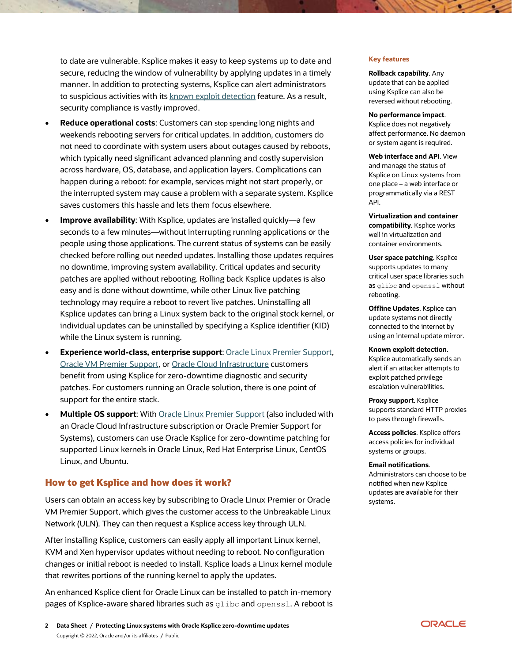to date are vulnerable. Ksplice makes it easy to keep systems up to date and secure, reducing the window of vulnerability by applying updates in a timely manner. In addition to protecting systems, Ksplice can alert administrators to suspicious activities with its [known exploit detection](https://blogs.oracle.com/linux/using-ksplice-to-detect-exploit-attempts) feature. As a result, security compliance is vastly improved.

- **Reduce operational costs**: Customers can stop spending long nights and weekends rebooting servers for critical updates. In addition, customers do not need to coordinate with system users about outages caused by reboots, which typically need significant advanced planning and costly supervision across hardware, OS, database, and application layers. Complications can happen during a reboot: for example, services might not start properly, or the interrupted system may cause a problem with a separate system. Ksplice saves customers this hassle and lets them focus elsewhere.
- **Improve availability**: With Ksplice, updates are installed quickly—a few seconds to a few minutes—without interrupting running applications or the people using those applications. The current status of systems can be easily checked before rolling out needed updates. Installing those updates requires no downtime, improving system availability. Critical updates and security patches are applied without rebooting. Rolling back Ksplice updates is also easy and is done without downtime, while other Linux live patching technology may require a reboot to revert live patches. Uninstalling all Ksplice updates can bring a Linux system back to the original stock kernel, or individual updates can be uninstalled by specifying a Ksplice identifier (KID) while the Linux system is running.
- **Experience world-class, enterprise support**: [Oracle Linux Premier Support,](https://www.oracle.com/linux/support/) [Oracle VM Premier Support,](https://www.oracle.com/a/ocom/docs/ovm-server-for-x86-459312.pdf) o[r Oracle Cloud Infrastructure](https://www.oracle.com/a/ocom/docs/linux-for-cloud-infrastructure-4024517.pdf) customers benefit from using Ksplice for zero-downtime diagnostic and security patches. For customers running an Oracle solution, there is one point of support for the entire stack.
- **Multiple OS support**: With [Oracle Linux Premier Support](https://www.oracle.com/linux/support/) (also included with an Oracle Cloud Infrastructure subscription or Oracle Premier Support for Systems), customers can use Oracle Ksplice for zero-downtime patching for supported Linux kernels in Oracle Linux, Red Hat Enterprise Linux, CentOS Linux, and Ubuntu.

### **How to get Ksplice and how does it work?**

Users can obtain an access key by subscribing to Oracle Linux Premier or Oracle VM Premier Support, which gives the customer access to the Unbreakable Linux Network (ULN). They can then request a Ksplice access key through ULN.

After installing Ksplice, customers can easily apply all important Linux kernel, KVM and Xen hypervisor updates without needing to reboot. No configuration changes or initial reboot is needed to install. Ksplice loads a Linux kernel module that rewrites portions of the running kernel to apply the updates.

An enhanced Ksplice client for Oracle Linux can be installed to patch in-memory pages of Ksplice-aware shared libraries such as glibc and openssl. A reboot is

#### **Key features**

**Rollback capability**. Any update that can be applied using Ksplice can also be reversed without rebooting.

#### **No performance impact**.

Ksplice does not negatively affect performance. No daemon or system agent is required.

**Web interface and API**. View and manage the status of Ksplice on Linux systems from one place – a web interface or programmatically via a REST API.

**Virtualization and container compatibility**. Ksplice works well in virtualization and container environments.

**User space patching**. Ksplice supports updates to many critical user space libraries such as glibc and openssl without rebooting.

**Offline Updates**. Ksplice can update systems not directly connected to the internet by using an internal update mirror.

**Known exploit detection**. Ksplice automatically sends an alert if an attacker attempts to exploit patched privilege escalation vulnerabilities.

**Proxy support**. Ksplice supports standard HTTP proxies to pass through firewalls.

**Access policies**. Ksplice offers access policies for individual systems or groups.

#### **Email notifications**.

Administrators can choose to be notified when new Ksplice updates are available for their systems.

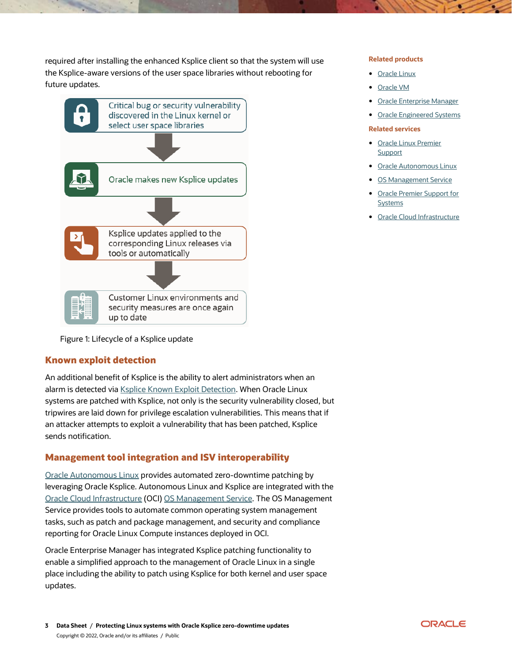required after installing the enhanced Ksplice client so that the system will use the Ksplice-aware versions of the user space libraries without rebooting for future updates.



Figure 1: Lifecycle of a Ksplice update

## **Known exploit detection**

An additional benefit of Ksplice is the ability to alert administrators when an alarm is detected via **Ksplice Known Exploit Detection**. When Oracle Linux systems are patched with Ksplice, not only is the security vulnerability closed, but tripwires are laid down for privilege escalation vulnerabilities. This means that if an attacker attempts to exploit a vulnerability that has been patched, Ksplice sends notification.

## **Management tool integration and ISV interoperability**

[Oracle Autonomous Linux](https://www.oracle.com/linux/autonomous-linux/) provides automated zero-downtime patching by leveraging Oracle Ksplice. Autonomous Linux and Ksplice are integrated with the [Oracle Cloud Infrastructure](https://www.oracle.com/cloud/) (OCI) [OS Management Service.](https://docs.oracle.com/en-us/iaas/os-management/osms/index.htm) The OS Management Service provides tools to automate common operating system management tasks, such as patch and package management, and security and compliance reporting for Oracle Linux Compute instances deployed in OCI.

Oracle Enterprise Manager has integrated Ksplice patching functionality to enable a simplified approach to the management of Oracle Linux in a single place including the ability to patch using Ksplice for both kernel and user space updates.

#### **Related products**

- [Oracle Linux](https://www.oracle.com/linux)
- [Oracle VM](https://www.oracle.com/a/ocom/docs/ovm-server-for-x86-459312.pdf)
- **[Oracle Enterprise Manager](https://www.oracle.com/enterprise-manager/)**
- **•** [Oracle Engineered Systems](https://www.oracle.com/engineered-systems/)

#### **Related services**

- [Oracle Linux Premier](https://www.oracle.com/linux/support/)  **[Support](https://www.oracle.com/linux/support/)**
- [Oracle Autonomous Linux](https://www.oracle.com/linux/autonomous-linux/)
- [OS Management Service](https://docs.oracle.com/en-us/iaas/os-management/osms/index.htm)
- [Oracle Premier Support for](https://www.oracle.com/support/premier/systems/)  **[Systems](https://www.oracle.com/support/premier/systems/)**
- [Oracle Cloud Infrastructure](https://www.oracle.com/cloud/)